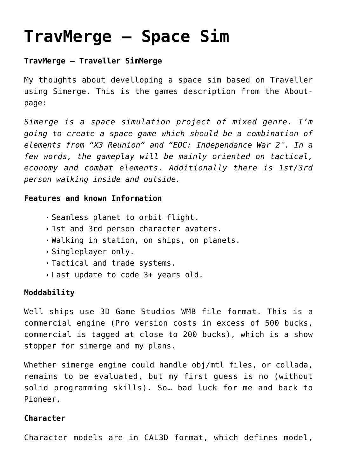# **[TravMerge – Space Sim](http://traveller.chromeblack.com/play/metatraveller-space-sim-thought-experiment/travmerge-space-sim/)**

### **TravMerge – Traveller SimMerge**

My thoughts about develloping a space sim based on Traveller using [Simerge](http://www.simerge.com/blog/). This is the games description from the [About](http://www.simerge.com/blog/?page_id=10)[page](http://www.simerge.com/blog/?page_id=10):

*Simerge is a space simulation project of mixed genre. I'm going to create a space game which should be a combination of elements from "X3 Reunion" and "EOC: Independance War 2″. In a few words, the gameplay will be mainly oriented on tactical, economy and combat elements. Additionally there is 1st/3rd person walking inside and outside.*

#### **Features and known Information**

- Seamless planet to orbit flight.
- 1st and 3rd person character avaters.
- Walking in station, on ships, on planets.
- Singleplayer only.
- Tactical and trade systems.
- Last update to code 3+ years old.

#### **Moddability**

Well ships use 3D Game Studios WMB file format. This is a commercial engine (Pro version costs in excess of 500 bucks, commercial is tagged at close to 200 bucks), which is a show stopper for simerge and my plans.

Whether simerge engine could handle obj/mtl files, or collada, remains to be evaluated, but my first guess is no (without solid programming skills). So… bad luck for me and back to [Pioneer](http://traveller.chromeblack.com/play/metatraveller-space-sim-thought-experiment/traveller-pioneer-space-sim/).

#### **Character**

Character models are in [CAL3D](http://home.gna.org/cal3d/) format, which defines model,